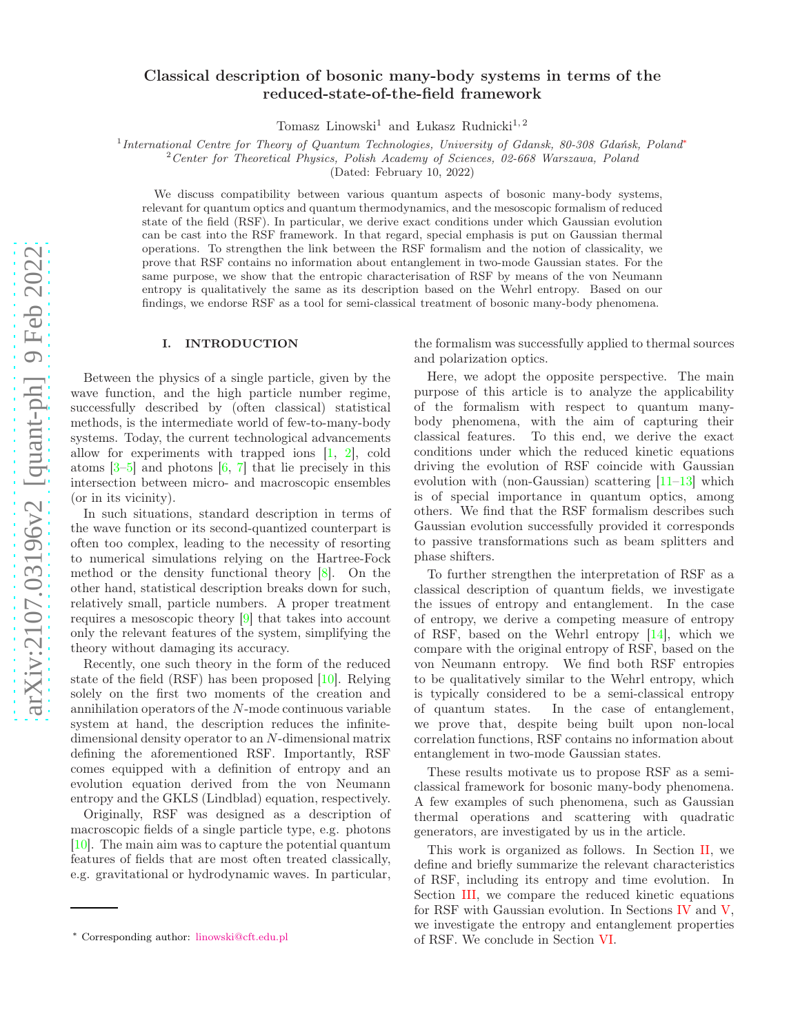# Classical description of bosonic many-body systems in terms of the reduced-state-of-the-field framework

Tomasz Linowski<sup>1</sup> and Łukasz Rudnicki<sup>1, 2</sup>

<sup>1</sup>International Centre for Theory of Quantum Technologies, University of Gdansk, 80-308 Gdańsk, Poland<sup>[∗](#page-0-0)</sup>

 $2$  Center for Theoretical Physics, Polish Academy of Sciences, 02-668 Warszawa, Poland

(Dated: February 10, 2022)

We discuss compatibility between various quantum aspects of bosonic many-body systems, relevant for quantum optics and quantum thermodynamics, and the mesoscopic formalism of reduced state of the field (RSF). In particular, we derive exact conditions under which Gaussian evolution can be cast into the RSF framework. In that regard, special emphasis is put on Gaussian thermal operations. To strengthen the link between the RSF formalism and the notion of classicality, we prove that RSF contains no information about entanglement in two-mode Gaussian states. For the same purpose, we show that the entropic characterisation of RSF by means of the von Neumann entropy is qualitatively the same as its description based on the Wehrl entropy. Based on our findings, we endorse RSF as a tool for semi-classical treatment of bosonic many-body phenomena.

### I. INTRODUCTION

Between the physics of a single particle, given by the wave function, and the high particle number regime, successfully described by (often classical) statistical methods, is the intermediate world of few-to-many-body systems. Today, the current technological advancements allow for experiments with trapped ions [\[1](#page-7-0), [2](#page-7-1)], cold atoms  $[3-5]$  and photons  $[6, 7]$  $[6, 7]$  $[6, 7]$  that lie precisely in this intersection between micro- and macroscopic ensembles (or in its vicinity).

In such situations, standard description in terms of the wave function or its second-quantized counterpart is often too complex, leading to the necessity of resorting to numerical simulations relying on the Hartree-Fock method or the density functional theory [\[8](#page-8-4)]. On the other hand, statistical description breaks down for such, relatively small, particle numbers. A proper treatment requires a mesoscopic theory [\[9](#page-8-5)] that takes into account only the relevant features of the system, simplifying the theory without damaging its accuracy.

Recently, one such theory in the form of the reduced state of the field (RSF) has been proposed [\[10\]](#page-8-6). Relying solely on the first two moments of the creation and annihilation operators of the N-mode continuous variable system at hand, the description reduces the infinitedimensional density operator to an N-dimensional matrix defining the aforementioned RSF. Importantly, RSF comes equipped with a definition of entropy and an evolution equation derived from the von Neumann entropy and the GKLS (Lindblad) equation, respectively.

Originally, RSF was designed as a description of macroscopic fields of a single particle type, e.g. photons [\[10\]](#page-8-6). The main aim was to capture the potential quantum features of fields that are most often treated classically, e.g. gravitational or hydrodynamic waves. In particular,

the formalism was successfully applied to thermal sources and polarization optics.

Here, we adopt the opposite perspective. The main purpose of this article is to analyze the applicability of the formalism with respect to quantum manybody phenomena, with the aim of capturing their classical features. To this end, we derive the exact conditions under which the reduced kinetic equations driving the evolution of RSF coincide with Gaussian evolution with (non-Gaussian) scattering [\[11](#page-8-7)[–13\]](#page-8-8) which is of special importance in quantum optics, among others. We find that the RSF formalism describes such Gaussian evolution successfully provided it corresponds to passive transformations such as beam splitters and phase shifters.

To further strengthen the interpretation of RSF as a classical description of quantum fields, we investigate the issues of entropy and entanglement. In the case of entropy, we derive a competing measure of entropy of RSF, based on the Wehrl entropy [\[14\]](#page-8-9), which we compare with the original entropy of RSF, based on the von Neumann entropy. We find both RSF entropies to be qualitatively similar to the Wehrl entropy, which is typically considered to be a semi-classical entropy of quantum states. In the case of entanglement, we prove that, despite being built upon non-local correlation functions, RSF contains no information about entanglement in two-mode Gaussian states.

These results motivate us to propose RSF as a semiclassical framework for bosonic many-body phenomena. A few examples of such phenomena, such as Gaussian thermal operations and scattering with quadratic generators, are investigated by us in the article.

This work is organized as follows. In Section [II,](#page-1-0) we define and briefly summarize the relevant characteristics of RSF, including its entropy and time evolution. In Section [III,](#page-2-0) we compare the reduced kinetic equations for RSF with Gaussian evolution. In Sections [IV](#page-5-0) and [V,](#page-7-2) we investigate the entropy and entanglement properties of RSF. We conclude in Section [VI.](#page-7-3)

<span id="page-0-0"></span><sup>∗</sup> Corresponding author: [linowski@cft.edu.pl](mailto:linowski@cft.edu.pl)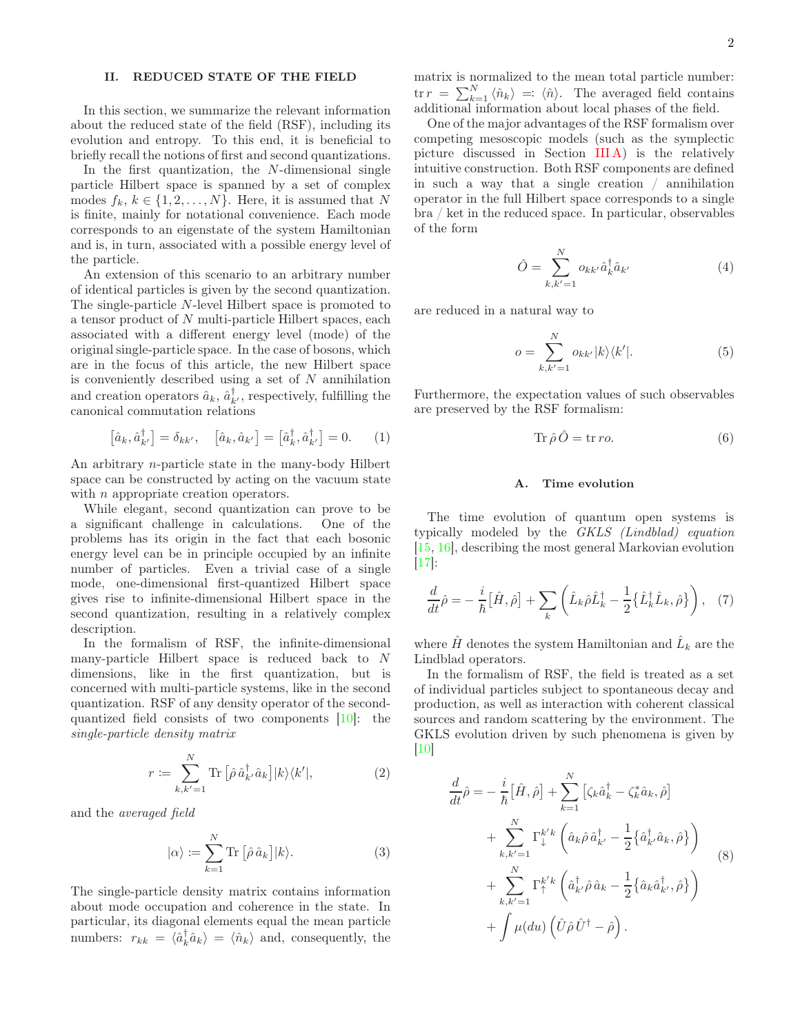# <span id="page-1-0"></span>II. REDUCED STATE OF THE FIELD

In this section, we summarize the relevant information about the reduced state of the field (RSF), including its evolution and entropy. To this end, it is beneficial to briefly recall the notions of first and second quantizations.

In the first quantization, the N-dimensional single particle Hilbert space is spanned by a set of complex modes  $f_k, k \in \{1, 2, ..., N\}$ . Here, it is assumed that N is finite, mainly for notational convenience. Each mode corresponds to an eigenstate of the system Hamiltonian and is, in turn, associated with a possible energy level of the particle.

An extension of this scenario to an arbitrary number of identical particles is given by the second quantization. The single-particle N-level Hilbert space is promoted to a tensor product of N multi-particle Hilbert spaces, each associated with a different energy level (mode) of the original single-particle space. In the case of bosons, which are in the focus of this article, the new Hilbert space is conveniently described using a set of  $N$  annihilation and creation operators  $\hat{a}_k$ ,  $\hat{a}_{k'}^{\dagger}$ , respectively, fulfilling the canonical commutation relations

$$
\left[\hat{a}_k, \hat{a}_{k'}^\dagger\right] = \delta_{kk'}, \quad \left[\hat{a}_k, \hat{a}_{k'}\right] = \left[\hat{a}_k^\dagger, \hat{a}_{k'}^\dagger\right] = 0. \tag{1}
$$

An arbitrary n-particle state in the many-body Hilbert space can be constructed by acting on the vacuum state with *n* appropriate creation operators.

While elegant, second quantization can prove to be a significant challenge in calculations. One of the problems has its origin in the fact that each bosonic energy level can be in principle occupied by an infinite number of particles. Even a trivial case of a single mode, one-dimensional first-quantized Hilbert space gives rise to infinite-dimensional Hilbert space in the second quantization, resulting in a relatively complex description.

In the formalism of RSF, the infinite-dimensional many-particle Hilbert space is reduced back to N dimensions, like in the first quantization, but is concerned with multi-particle systems, like in the second quantization. RSF of any density operator of the secondquantized field consists of two components [\[10](#page-8-6)]: the single-particle density matrix

$$
r := \sum_{k,k'=1}^{N} \text{Tr} \left[ \hat{\rho} \, \hat{a}_{k'}^{\dagger} \hat{a}_{k} \right] |k\rangle\langle k'|,\tag{2}
$$

and the averaged field

$$
|\alpha\rangle := \sum_{k=1}^{N} \text{Tr} \left[ \hat{\rho} \,\hat{a}_k \right] |k\rangle. \tag{3}
$$

The single-particle density matrix contains information about mode occupation and coherence in the state. In particular, its diagonal elements equal the mean particle numbers:  $r_{kk} = \langle \hat{a}_k^{\dagger} \hat{a}_k \rangle = \langle \hat{n}_k \rangle$  and, consequently, the

matrix is normalized to the mean total particle number:  $\text{tr } r = \sum_{k=1}^{N} \langle \hat{n}_k \rangle =: \langle \hat{n} \rangle.$  The averaged field contains additional information about local phases of the field.

One of the major advantages of the RSF formalism over competing mesoscopic models (such as the symplectic picture discussed in Section [III A\)](#page-2-1) is the relatively intuitive construction. Both RSF components are defined in such a way that a single creation / annihilation operator in the full Hilbert space corresponds to a single bra / ket in the reduced space. In particular, observables of the form

$$
\hat{O} = \sum_{k,k'=1}^{N} o_{kk'} \hat{a}_k^{\dagger} \hat{a}_{k'} \tag{4}
$$

are reduced in a natural way to

$$
o = \sum_{k,k'=1}^{N} o_{kk'} |k\rangle\langle k'|.
$$
 (5)

Furthermore, the expectation values of such observables are preserved by the RSF formalism:

$$
\operatorname{Tr}\hat{\rho}\hat{O} = \operatorname{tr}ro.
$$
 (6)

### A. Time evolution

The time evolution of quantum open systems is typically modeled by the GKLS (Lindblad) equation [\[15,](#page-8-10) [16](#page-8-11)], describing the most general Markovian evolution [\[17\]](#page-8-12):

$$
\frac{d}{dt}\hat{\rho} = -\frac{i}{\hbar}[\hat{H}, \hat{\rho}] + \sum_{k} \left( \hat{L}_{k}\hat{\rho}\hat{L}_{k}^{\dagger} - \frac{1}{2} \{\hat{L}_{k}^{\dagger}\hat{L}_{k}, \hat{\rho}\} \right), \quad (7)
$$

where  $\hat{H}$  denotes the system Hamiltonian and  $\hat{L}_k$  are the Lindblad operators.

In the formalism of RSF, the field is treated as a set of individual particles subject to spontaneous decay and production, as well as interaction with coherent classical sources and random scattering by the environment. The GKLS evolution driven by such phenomena is given by [\[10\]](#page-8-6)

<span id="page-1-3"></span><span id="page-1-2"></span><span id="page-1-1"></span>
$$
\frac{d}{dt}\hat{\rho} = -\frac{i}{\hbar}[\hat{H}, \hat{\rho}] + \sum_{k=1}^{N} [\zeta_k \hat{a}_k^{\dagger} - \zeta_k^* \hat{a}_k, \hat{\rho}] \n+ \sum_{k,k'=1}^{N} \Gamma_{\downarrow}^{k'k} \left( \hat{a}_k \hat{\rho} \hat{a}_{k'}^{\dagger} - \frac{1}{2} \{ \hat{a}_k^{\dagger} \hat{a}_k, \hat{\rho} \} \right) \n+ \sum_{k,k'=1}^{N} \Gamma_{\uparrow}^{k'k} \left( \hat{a}_{k'}^{\dagger} \hat{\rho} \hat{a}_k - \frac{1}{2} \{ \hat{a}_k \hat{a}_{k'}^{\dagger}, \hat{\rho} \} \right) \n+ \int \mu(du) \left( \hat{U} \hat{\rho} \hat{U}^{\dagger} - \hat{\rho} \right).
$$
\n(S)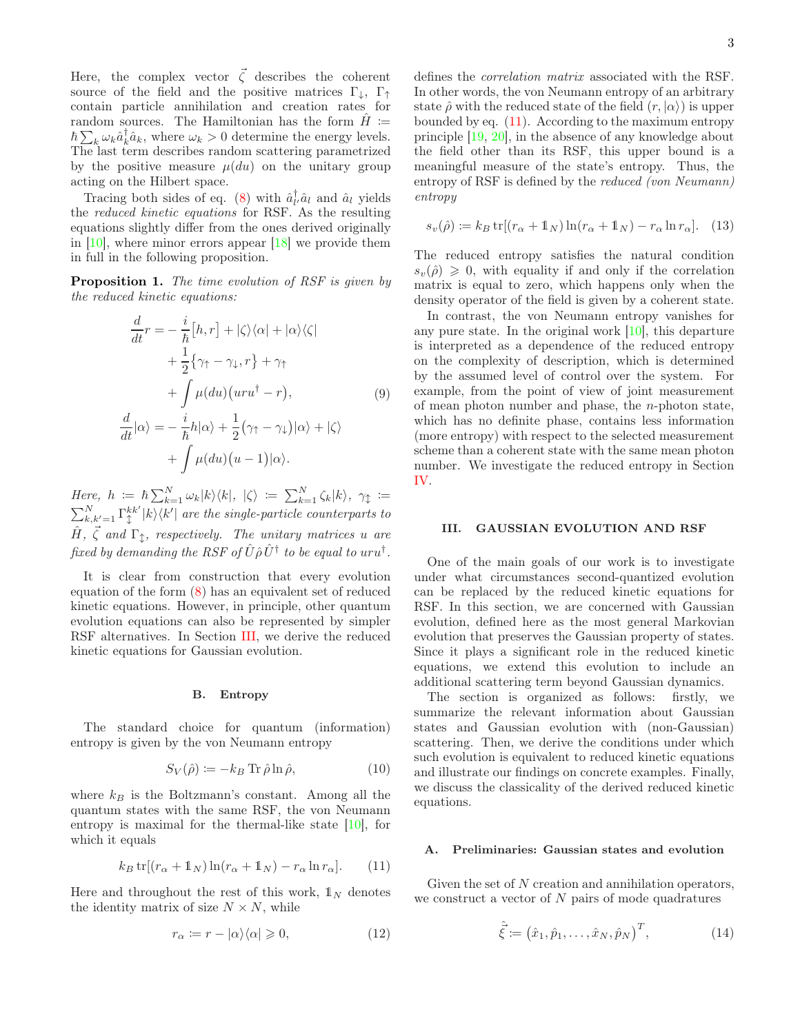Here, the complex vector  $\vec{\zeta}$  describes the coherent source of the field and the positive matrices  $\Gamma_{\downarrow}$ ,  $\Gamma_{\uparrow}$ contain particle annihilation and creation rates for random sources. The Hamiltonian has the form  $\hat{H}$  :=  $\hbar \sum_{k} \omega_{k} \hat{a}_{k}^{\dagger} \hat{a}_{k}$ , where  $\omega_{k} > 0$  determine the energy levels. The last term describes random scattering parametrized by the positive measure  $\mu(du)$  on the unitary group acting on the Hilbert space.

Tracing both sides of eq. [\(8\)](#page-1-1) with  $\hat{a}_{l'}^{\dagger} \hat{a}_{l'}$  and  $\hat{a}_{l}$  yields the reduced kinetic equations for RSF. As the resulting equations slightly differ from the ones derived originally in  $[10]$ , where minor errors appear  $[18]$  we provide them in full in the following proposition.

**Proposition 1.** The time evolution of RSF is given by the reduced kinetic equations:

$$
\frac{d}{dt}r = -\frac{i}{\hbar}[h,r] + |\zeta\rangle\langle\alpha| + |\alpha\rangle\langle\zeta|
$$

$$
+\frac{1}{2}\{\gamma_1 - \gamma_\downarrow, r\} + \gamma_1
$$

$$
+\int \mu(du)(uru^\dagger - r), \qquad (9)
$$

$$
\frac{d}{dt}|\alpha\rangle = -\frac{i}{\hbar}h|\alpha\rangle + \frac{1}{2}(\gamma_1 - \gamma_\downarrow)|\alpha\rangle + |\zeta\rangle
$$

$$
+\int \mu(du)(u-1)|\alpha\rangle.
$$

Here,  $h := \hbar \sum_{k=1}^{N} \omega_k |k\rangle\langle k|, \; |\zeta\rangle := \sum_{k=1}^{N} \zeta_k |k\rangle, \; \gamma_{\updownarrow} :=$  $\sum_{k,k'=1}^{N}\Gamma_\updownarrow^{kk'}$  $\int_{\tau}^{kk'} |k\rangle\langle k'|$  are the single-particle counterparts to  $\hat{H}$ ,  $\vec{\zeta}$  and  $\Gamma_{\updownarrow}$ , respectively. The unitary matrices u are fixed by demanding the RSF of  $\hat{U}\hat{\rho}\,\hat{U}^{\dagger}$  to be equal to  $uru^{\dagger}.$ 

It is clear from construction that every evolution equation of the form [\(8\)](#page-1-1) has an equivalent set of reduced kinetic equations. However, in principle, other quantum evolution equations can also be represented by simpler RSF alternatives. In Section [III,](#page-2-0) we derive the reduced kinetic equations for Gaussian evolution.

#### B. Entropy

The standard choice for quantum (information) entropy is given by the von Neumann entropy

$$
S_V(\hat{\rho}) := -k_B \operatorname{Tr} \hat{\rho} \ln \hat{\rho},\tag{10}
$$

where  $k_B$  is the Boltzmann's constant. Among all the quantum states with the same RSF, the von Neumann entropy is maximal for the thermal-like state  $[10]$ , for which it equals

$$
k_B \operatorname{tr}[(r_\alpha + \mathbb{1}_N)\ln(r_\alpha + \mathbb{1}_N) - r_\alpha \ln r_\alpha]. \tag{11}
$$

Here and throughout the rest of this work,  $\mathbb{1}_N$  denotes the identity matrix of size  $N \times N$ , while

$$
r_{\alpha} := r - |\alpha\rangle\langle\alpha| \geqslant 0,\tag{12}
$$

defines the correlation matrix associated with the RSF. In other words, the von Neumann entropy of an arbitrary state  $\hat{\rho}$  with the reduced state of the field  $(r, |\alpha\rangle)$  is upper bounded by eq. [\(11\)](#page-2-2). According to the maximum entropy principle [\[19,](#page-8-14) [20](#page-8-15)], in the absence of any knowledge about the field other than its RSF, this upper bound is a meaningful measure of the state's entropy. Thus, the entropy of RSF is defined by the *reduced (von Neumann)* entropy

<span id="page-2-5"></span>
$$
s_v(\hat{\rho}) \coloneqq k_B \operatorname{tr}[(r_\alpha + \mathbb{1}_N) \ln(r_\alpha + \mathbb{1}_N) - r_\alpha \ln r_\alpha]. \quad (13)
$$

The reduced entropy satisfies the natural condition  $s_v(\hat{\rho}) \geq 0$ , with equality if and only if the correlation matrix is equal to zero, which happens only when the density operator of the field is given by a coherent state.

<span id="page-2-3"></span>In contrast, the von Neumann entropy vanishes for any pure state. In the original work [\[10](#page-8-6)], this departure is interpreted as a dependence of the reduced entropy on the complexity of description, which is determined by the assumed level of control over the system. For example, from the point of view of joint measurement of mean photon number and phase, the  $n$ -photon state, which has no definite phase, contains less information (more entropy) with respect to the selected measurement scheme than a coherent state with the same mean photon number. We investigate the reduced entropy in Section [IV.](#page-5-0)

### <span id="page-2-0"></span>III. GAUSSIAN EVOLUTION AND RSF

One of the main goals of our work is to investigate under what circumstances second-quantized evolution can be replaced by the reduced kinetic equations for RSF. In this section, we are concerned with Gaussian evolution, defined here as the most general Markovian evolution that preserves the Gaussian property of states. Since it plays a significant role in the reduced kinetic equations, we extend this evolution to include an additional scattering term beyond Gaussian dynamics.

<span id="page-2-4"></span>The section is organized as follows: firstly, we summarize the relevant information about Gaussian states and Gaussian evolution with (non-Gaussian) scattering. Then, we derive the conditions under which such evolution is equivalent to reduced kinetic equations and illustrate our findings on concrete examples. Finally, we discuss the classicality of the derived reduced kinetic equations.

#### <span id="page-2-1"></span>A. Preliminaries: Gaussian states and evolution

<span id="page-2-6"></span><span id="page-2-2"></span>Given the set of  $N$  creation and annihilation operators, we construct a vector of  $N$  pairs of mode quadratures

$$
\hat{\vec{\xi}} := (\hat{x}_1, \hat{p}_1, \dots, \hat{x}_N, \hat{p}_N)^T, \tag{14}
$$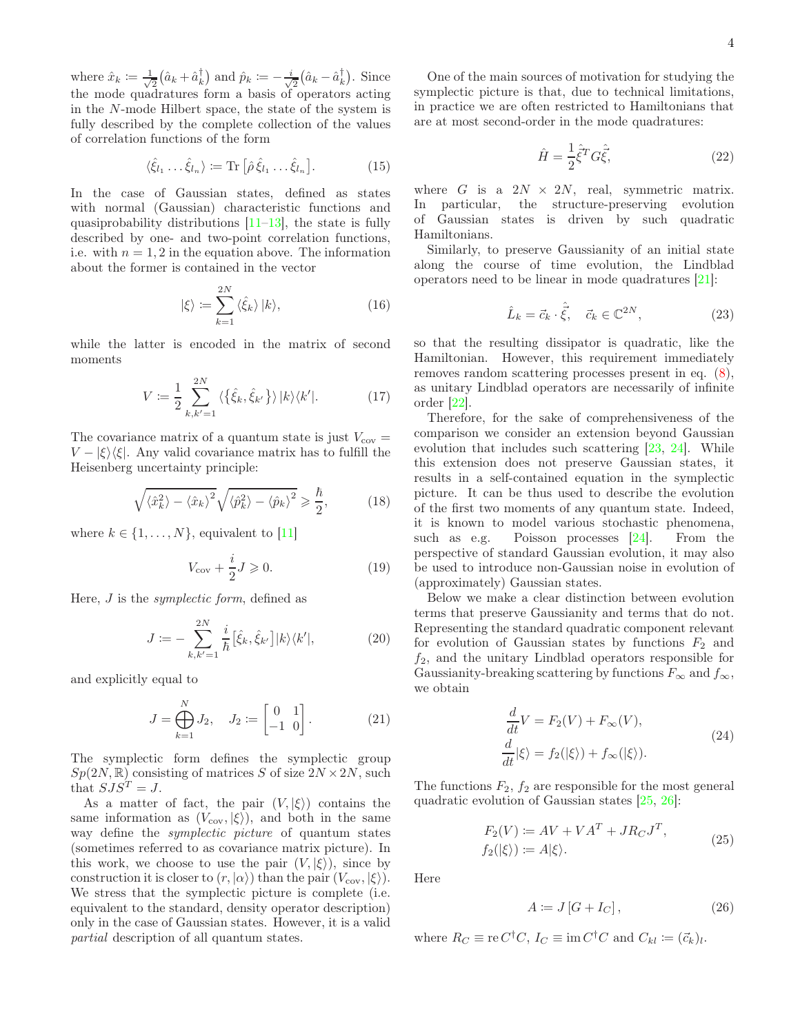where  $\hat{x}_k \coloneqq \frac{1}{\sqrt{2}}$  $\frac{1}{2}(\hat{a}_k + \hat{a}_k^{\dagger})$  and  $\hat{p}_k \coloneqq -\frac{i}{\sqrt{k}}$  $\frac{1}{2}(\hat{a}_k - \hat{a}_k^{\dagger})$ . Since the mode quadratures form a basis of operators acting in the N-mode Hilbert space, the state of the system is fully described by the complete collection of the values of correlation functions of the form

$$
\langle \hat{\xi}_{l_1} \dots \hat{\xi}_{l_n} \rangle \coloneqq \text{Tr} \left[ \hat{\rho} \hat{\xi}_{l_1} \dots \hat{\xi}_{l_n} \right]. \tag{15}
$$

In the case of Gaussian states, defined as states with normal (Gaussian) characteristic functions and quasiprobability distributions  $[11-13]$ , the state is fully described by one- and two-point correlation functions, i.e. with  $n = 1, 2$  in the equation above. The information about the former is contained in the vector

$$
|\xi\rangle := \sum_{k=1}^{2N} \langle \hat{\xi}_k \rangle |k\rangle, \tag{16}
$$

while the latter is encoded in the matrix of second moments

$$
V := \frac{1}{2} \sum_{k,k'=1}^{2N} \langle \{\hat{\xi}_k, \hat{\xi}_{k'}\} \rangle |k\rangle \langle k'|.
$$
 (17)

The covariance matrix of a quantum state is just  $V_{\text{cov}} =$  $V - |\xi\rangle\langle\xi|$ . Any valid covariance matrix has to fulfill the Heisenberg uncertainty principle:

$$
\sqrt{\langle \hat{x}_k^2 \rangle - \langle \hat{x}_k \rangle^2} \sqrt{\langle \hat{p}_k^2 \rangle - \langle \hat{p}_k \rangle^2} \geq \frac{\hbar}{2},\tag{18}
$$

where  $k \in \{1, \ldots, N\}$ , equivalent to [\[11](#page-8-7)]

$$
V_{\text{cov}} + \frac{i}{2}J \geqslant 0. \tag{19}
$$

Here, *J* is the *symplectic form*, defined as

$$
J \coloneqq -\sum_{k,k'=1}^{2N} \frac{i}{\hbar} \left[ \hat{\xi}_k, \hat{\xi}_{k'} \right] |k\rangle\langle k'|,\tag{20}
$$

and explicitly equal to

$$
J = \bigoplus_{k=1}^{N} J_2, \quad J_2 := \begin{bmatrix} 0 & 1 \\ -1 & 0 \end{bmatrix}.
$$
 (21)

The symplectic form defines the symplectic group  $Sp(2N,\mathbb{R})$  consisting of matrices S of size  $2N \times 2N$ , such that  $SJS^{T} = J$ .

As a matter of fact, the pair  $(V, |\xi\rangle)$  contains the same information as  $(V_{\text{cov}}, \langle \xi \rangle)$ , and both in the same way define the symplectic picture of quantum states (sometimes referred to as covariance matrix picture). In this work, we choose to use the pair  $(V, |\xi\rangle)$ , since by construction it is closer to  $(r, |\alpha\rangle)$  than the pair  $(V_{\text{cov}}, |\xi\rangle)$ . We stress that the symplectic picture is complete (i.e. equivalent to the standard, density operator description) only in the case of Gaussian states. However, it is a valid partial description of all quantum states.

One of the main sources of motivation for studying the symplectic picture is that, due to technical limitations, in practice we are often restricted to Hamiltonians that are at most second-order in the mode quadratures:

<span id="page-3-1"></span>
$$
\hat{H} = \frac{1}{2}\hat{\xi}^T G \hat{\xi},\tag{22}
$$

where G is a  $2N \times 2N$ , real, symmetric matrix. In particular, the structure-preserving evolution of Gaussian states is driven by such quadratic Hamiltonians.

Similarly, to preserve Gaussianity of an initial state along the course of time evolution, the Lindblad operators need to be linear in mode quadratures [\[21](#page-8-16)]:

$$
\hat{L}_k = \vec{c}_k \cdot \hat{\vec{\xi}}, \quad \vec{c}_k \in \mathbb{C}^{2N}, \tag{23}
$$

so that the resulting dissipator is quadratic, like the Hamiltonian. However, this requirement immediately removes random scattering processes present in eq. [\(8\)](#page-1-1), as unitary Lindblad operators are necessarily of infinite order [\[22\]](#page-8-17).

Therefore, for the sake of comprehensiveness of the comparison we consider an extension beyond Gaussian evolution that includes such scattering [\[23](#page-8-18), [24](#page-8-19)]. While this extension does not preserve Gaussian states, it results in a self-contained equation in the symplectic picture. It can be thus used to describe the evolution of the first two moments of any quantum state. Indeed, it is known to model various stochastic phenomena, such as e.g. Poisson processes [\[24](#page-8-19)]. From the perspective of standard Gaussian evolution, it may also be used to introduce non-Gaussian noise in evolution of (approximately) Gaussian states.

<span id="page-3-3"></span>Below we make a clear distinction between evolution terms that preserve Gaussianity and terms that do not. Representing the standard quadratic component relevant for evolution of Gaussian states by functions  $F_2$  and  $f_2$ , and the unitary Lindblad operators responsible for Gaussianity-breaking scattering by functions  $F_{\infty}$  and  $f_{\infty}$ , we obtain

<span id="page-3-0"></span>
$$
\frac{d}{dt}V = F_2(V) + F_{\infty}(V),
$$
\n
$$
\frac{d}{dt}|\xi\rangle = f_2(|\xi\rangle) + f_{\infty}(|\xi\rangle).
$$
\n(24)

<span id="page-3-2"></span>The functions  $F_2$ ,  $f_2$  are responsible for the most general quadratic evolution of Gaussian states [\[25,](#page-8-20) [26](#page-8-21)]:

$$
F_2(V) := AV + VA^T + JR_CJ^T,
$$
  
\n
$$
f_2(|\xi\rangle) := A|\xi\rangle.
$$
\n(25)

Here

$$
A \coloneqq J\left[G + I_C\right],\tag{26}
$$

where  $R_C \equiv \text{re } C^{\dagger}C$ ,  $I_C \equiv \text{im } C^{\dagger}C$  and  $C_{kl} \coloneqq (\vec{c}_k)_l$ .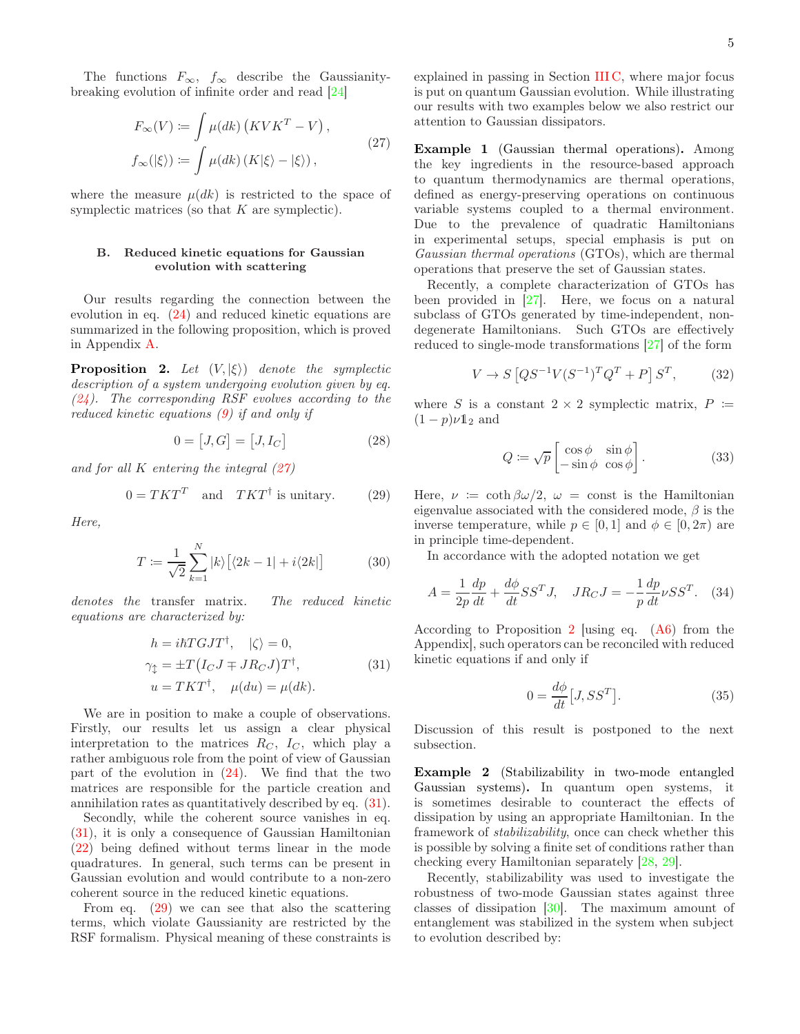The functions  $F_{\infty}$ ,  $f_{\infty}$  describe the Gaussianitybreaking evolution of infinite order and read [\[24](#page-8-19)]

$$
F_{\infty}(V) := \int \mu(dk) (KVK^T - V),
$$
  
\n
$$
f_{\infty}(|\xi\rangle) := \int \mu(dk) (K|\xi\rangle - |\xi\rangle),
$$
\n(27)

where the measure  $\mu(dk)$  is restricted to the space of symplectic matrices (so that  $K$  are symplectic).

### B. Reduced kinetic equations for Gaussian evolution with scattering

Our results regarding the connection between the evolution in eq. [\(24\)](#page-3-0) and reduced kinetic equations are summarized in the following proposition, which is proved in Appendix [A.](#page-8-22)

<span id="page-4-3"></span>**Proposition 2.** Let  $(V, |\xi\rangle)$  denote the symplectic description of a system undergoing evolution given by eq.  $(24)$ . The corresponding RSF evolves according to the reduced kinetic equations [\(9\)](#page-2-3) if and only if

$$
0 = [J, G] = [J, I_C]
$$
\n
$$
(28)
$$

and for all  $K$  entering the integral  $(27)$ 

$$
0 = TKT^T \quad \text{and} \quad TKT^{\dagger} \text{ is unitary.} \tag{29}
$$

Here,

$$
T := \frac{1}{\sqrt{2}} \sum_{k=1}^{N} |k\rangle \left[ \langle 2k - 1| + i \langle 2k| \right] \tag{30}
$$

denotes the transfer matrix. The reduced kinetic equations are characterized by:

$$
h = i\hbar T G J T^{\dagger}, \quad |\zeta\rangle = 0,
$$
  
\n
$$
\gamma_{\updownarrow} = \pm T (I_C J \mp J R_C J) T^{\dagger}, \qquad (31)
$$
  
\n
$$
u = T K T^{\dagger}, \quad \mu(du) = \mu(dk).
$$

We are in position to make a couple of observations. Firstly, our results let us assign a clear physical interpretation to the matrices  $R_C$ ,  $I_C$ , which play a rather ambiguous role from the point of view of Gaussian part of the evolution in  $(24)$ . We find that the two matrices are responsible for the particle creation and annihilation rates as quantitatively described by eq. [\(31\)](#page-4-1).

Secondly, while the coherent source vanishes in eq. [\(31\)](#page-4-1), it is only a consequence of Gaussian Hamiltonian [\(22\)](#page-3-1) being defined without terms linear in the mode quadratures. In general, such terms can be present in Gaussian evolution and would contribute to a non-zero coherent source in the reduced kinetic equations.

From eq. [\(29\)](#page-4-2) we can see that also the scattering terms, which violate Gaussianity are restricted by the RSF formalism. Physical meaning of these constraints is

explained in passing in Section [III C,](#page-5-1) where major focus is put on quantum Gaussian evolution. While illustrating our results with two examples below we also restrict our attention to Gaussian dissipators.

<span id="page-4-6"></span><span id="page-4-0"></span>Example 1 (Gaussian thermal operations). Among the key ingredients in the resource-based approach to quantum thermodynamics are thermal operations, defined as energy-preserving operations on continuous variable systems coupled to a thermal environment. Due to the prevalence of quadratic Hamiltonians in experimental setups, special emphasis is put on Gaussian thermal operations (GTOs), which are thermal operations that preserve the set of Gaussian states.

Recently, a complete characterization of GTOs has been provided in  $[27]$ . Here, we focus on a natural subclass of GTOs generated by time-independent, nondegenerate Hamiltonians. Such GTOs are effectively reduced to single-mode transformations [\[27\]](#page-8-23) of the form

$$
V \to S \left[ Q S^{-1} V (S^{-1})^T Q^T + P \right] S^T, \tag{32}
$$

<span id="page-4-4"></span>where S is a constant  $2 \times 2$  symplectic matrix,  $P :=$  $(1-p)\nu \mathbb{1}_2$  and

<span id="page-4-8"></span>
$$
Q \coloneqq \sqrt{p} \begin{bmatrix} \cos \phi & \sin \phi \\ -\sin \phi & \cos \phi \end{bmatrix} . \tag{33}
$$

<span id="page-4-2"></span>Here,  $\nu := \coth \beta \omega/2$ ,  $\omega = \text{const}$  is the Hamiltonian eigenvalue associated with the considered mode,  $\beta$  is the inverse temperature, while  $p \in [0, 1]$  and  $\phi \in [0, 2\pi)$  are in principle time-dependent.

In accordance with the adopted notation we get

 $\overline{a}$ 

$$
A = \frac{1}{2p} \frac{dp}{dt} + \frac{d\phi}{dt} S S^T J, \quad J R_C J = -\frac{1}{p} \frac{dp}{dt} \nu S S^T.
$$
 (34)

<span id="page-4-1"></span>According to Proposition [2](#page-4-3) [using eq. [\(A](#page-8-22)[6\)](#page-9-0) from the Appendix], such operators can be reconciled with reduced kinetic equations if and only if

<span id="page-4-7"></span>
$$
0 = \frac{d\phi}{dt} [J, SS^T].
$$
\n(35)

Discussion of this result is postponed to the next subsection.

<span id="page-4-5"></span>Example 2 (Stabilizability in two-mode entangled Gaussian systems). In quantum open systems, it is sometimes desirable to counteract the effects of dissipation by using an appropriate Hamiltonian. In the framework of stabilizability, once can check whether this is possible by solving a finite set of conditions rather than checking every Hamiltonian separately [\[28,](#page-8-24) [29\]](#page-8-25).

Recently, stabilizability was used to investigate the robustness of two-mode Gaussian states against three classes of dissipation [\[30\]](#page-8-26). The maximum amount of entanglement was stabilized in the system when subject to evolution described by: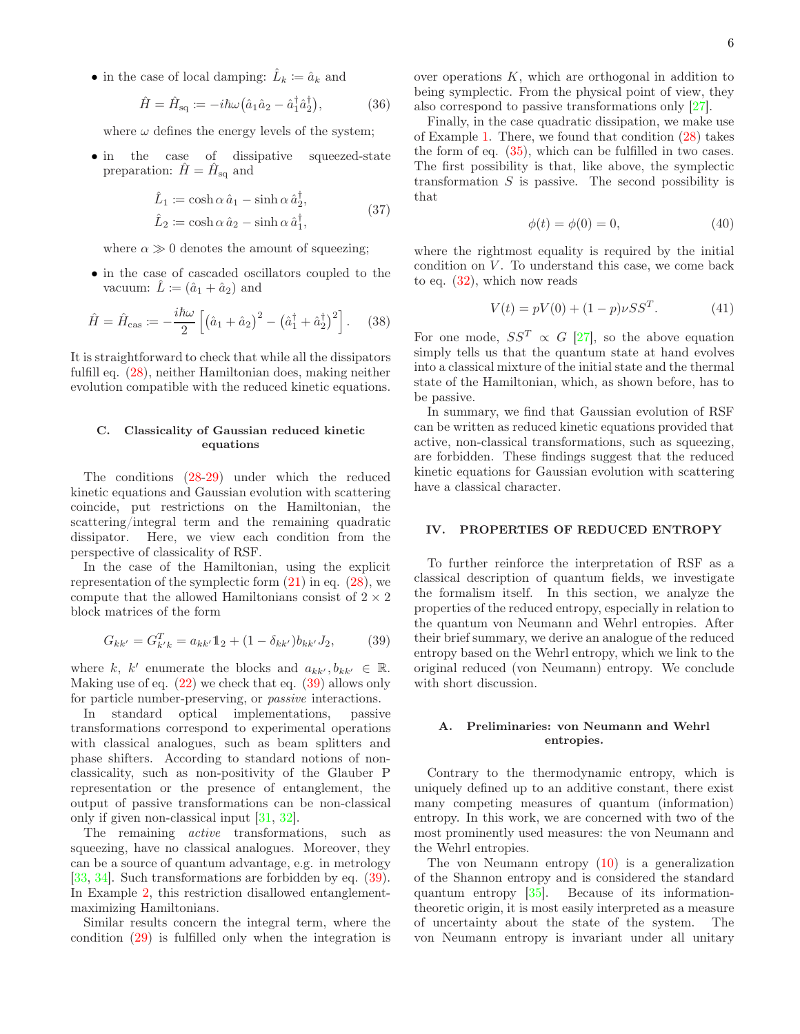• in the case of local damping:  $\hat{L}_k := \hat{a}_k$  and

$$
\hat{H} = \hat{H}_{\text{sq}} \coloneqq -i\hbar\omega \big(\hat{a}_1 \hat{a}_2 - \hat{a}_1^\dagger \hat{a}_2^\dagger\big),\tag{36}
$$

where  $\omega$  defines the energy levels of the system;

• in the case of dissipative squeezed-state preparation:  $\hat{H} = \hat{H}_{\text{sq}}$  and

$$
\hat{L}_1 \coloneqq \cosh \alpha \,\hat{a}_1 - \sinh \alpha \,\hat{a}_2^\dagger, \n\hat{L}_2 \coloneqq \cosh \alpha \,\hat{a}_2 - \sinh \alpha \,\hat{a}_1^\dagger,
$$
\n(37)

where  $\alpha \gg 0$  denotes the amount of squeezing;

• in the case of cascaded oscillators coupled to the vacuum:  $\hat{L} := (\hat{a}_1 + \hat{a}_2)$  and

$$
\hat{H} = \hat{H}_{\text{cas}} := -\frac{i\hbar\omega}{2} \left[ \left( \hat{a}_1 + \hat{a}_2 \right)^2 - \left( \hat{a}_1^\dagger + \hat{a}_2^\dagger \right)^2 \right]. \tag{38}
$$

It is straightforward to check that while all the dissipators fulfill eq. [\(28\)](#page-4-4), neither Hamiltonian does, making neither evolution compatible with the reduced kinetic equations.

# <span id="page-5-1"></span>C. Classicality of Gaussian reduced kinetic equations

The conditions [\(28-](#page-4-4)[29\)](#page-4-2) under which the reduced kinetic equations and Gaussian evolution with scattering coincide, put restrictions on the Hamiltonian, the scattering/integral term and the remaining quadratic dissipator. Here, we view each condition from the perspective of classicality of RSF.

In the case of the Hamiltonian, using the explicit representation of the symplectic form  $(21)$  in eq.  $(28)$ , we compute that the allowed Hamiltonians consist of  $2 \times 2$ block matrices of the form

$$
G_{kk'} = G_{k'k}^T = a_{kk'} 1_2 + (1 - \delta_{kk'}) b_{kk'} J_2,
$$
 (39)

<span id="page-5-2"></span>where k, k' enumerate the blocks and  $a_{kk'}, b_{kk'} \in \mathbb{R}$ . Making use of eq.  $(22)$  we check that eq.  $(39)$  allows only for particle number-preserving, or passive interactions.

In standard optical implementations, passive transformations correspond to experimental operations with classical analogues, such as beam splitters and phase shifters. According to standard notions of nonclassicality, such as non-positivity of the Glauber P representation or the presence of entanglement, the output of passive transformations can be non-classical only if given non-classical input [\[31,](#page-8-27) [32](#page-8-28)].

The remaining active transformations, such as squeezing, have no classical analogues. Moreover, they can be a source of quantum advantage, e.g. in metrology [\[33,](#page-8-29) [34\]](#page-8-30). Such transformations are forbidden by eq. [\(39\)](#page-5-2). In Example [2,](#page-4-5) this restriction disallowed entanglementmaximizing Hamiltonians.

Similar results concern the integral term, where the condition [\(29\)](#page-4-2) is fulfilled only when the integration is

over operations  $K$ , which are orthogonal in addition to being symplectic. From the physical point of view, they also correspond to passive transformations only [\[27](#page-8-23)].

Finally, in the case quadratic dissipation, we make use of Example [1.](#page-4-6) There, we found that condition [\(28\)](#page-4-4) takes the form of eq. [\(35\)](#page-4-7), which can be fulfilled in two cases. The first possibility is that, like above, the symplectic transformation  $S$  is passive. The second possibility is that

$$
\phi(t) = \phi(0) = 0,\tag{40}
$$

where the rightmost equality is required by the initial condition on  $V$ . To understand this case, we come back to eq. [\(32\)](#page-4-8), which now reads

$$
V(t) = pV(0) + (1 - p)\nu S S^{T}.
$$
 (41)

For one mode,  $SS^T \propto G$  [\[27\]](#page-8-23), so the above equation simply tells us that the quantum state at hand evolves into a classical mixture of the initial state and the thermal state of the Hamiltonian, which, as shown before, has to be passive.

In summary, we find that Gaussian evolution of RSF can be written as reduced kinetic equations provided that active, non-classical transformations, such as squeezing, are forbidden. These findings suggest that the reduced kinetic equations for Gaussian evolution with scattering have a classical character.

#### <span id="page-5-0"></span>IV. PROPERTIES OF REDUCED ENTROPY

To further reinforce the interpretation of RSF as a classical description of quantum fields, we investigate the formalism itself. In this section, we analyze the properties of the reduced entropy, especially in relation to the quantum von Neumann and Wehrl entropies. After their brief summary, we derive an analogue of the reduced entropy based on the Wehrl entropy, which we link to the original reduced (von Neumann) entropy. We conclude with short discussion.

### A. Preliminaries: von Neumann and Wehrl entropies.

Contrary to the thermodynamic entropy, which is uniquely defined up to an additive constant, there exist many competing measures of quantum (information) entropy. In this work, we are concerned with two of the most prominently used measures: the von Neumann and the Wehrl entropies.

The von Neumann entropy [\(10\)](#page-2-4) is a generalization of the Shannon entropy and is considered the standard quantum entropy [\[35\]](#page-8-31). Because of its informationtheoretic origin, it is most easily interpreted as a measure of uncertainty about the state of the system. The von Neumann entropy is invariant under all unitary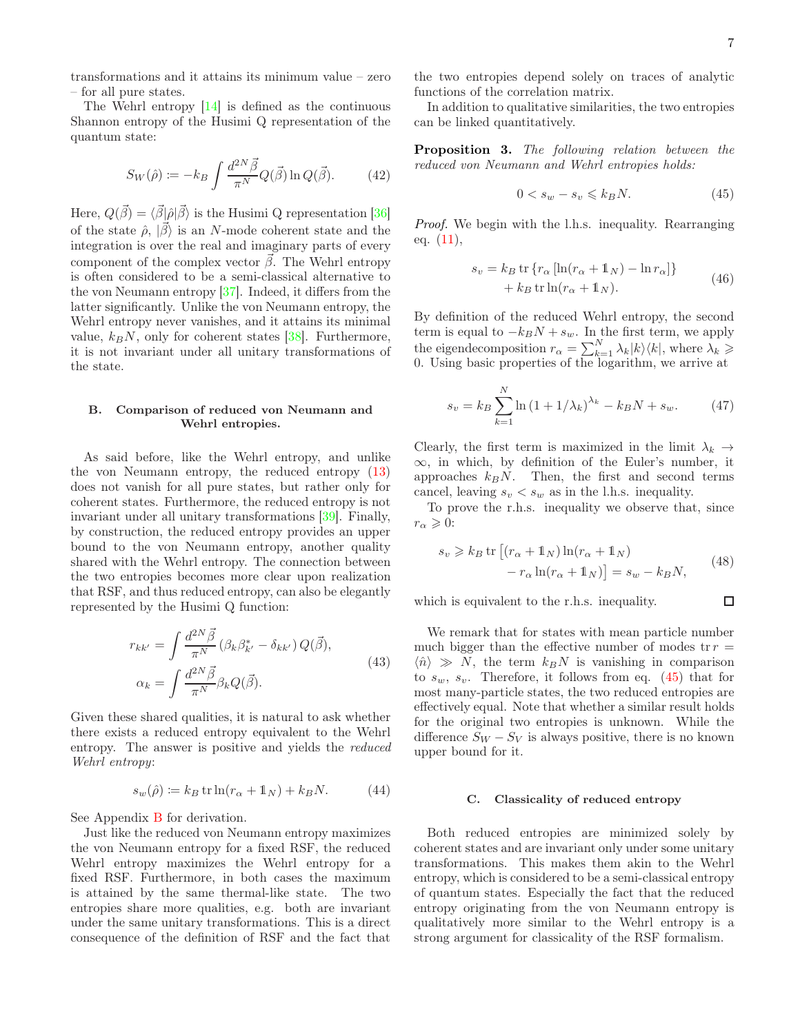transformations and it attains its minimum value – zero – for all pure states.

The Wehrl entropy [\[14\]](#page-8-9) is defined as the continuous Shannon entropy of the Husimi Q representation of the quantum state:

$$
S_W(\hat{\rho}) \coloneqq -k_B \int \frac{d^{2N} \vec{\beta}}{\pi^N} Q(\vec{\beta}) \ln Q(\vec{\beta}). \tag{42}
$$

Here,  $Q(\vec{\beta}) = \langle \vec{\beta} | \hat{\rho} | \vec{\beta} \rangle$  is the Husimi Q representation [\[36](#page-8-32)] of the state  $\hat{\rho}$ ,  $|\vec{\beta}\rangle$  is an N-mode coherent state and the integration is over the real and imaginary parts of every component of the complex vector  $\beta$ . The Wehrl entropy is often considered to be a semi-classical alternative to the von Neumann entropy [\[37\]](#page-8-33). Indeed, it differs from the latter significantly. Unlike the von Neumann entropy, the Wehrl entropy never vanishes, and it attains its minimal value,  $k_B N$ , only for coherent states [\[38\]](#page-8-34). Furthermore, it is not invariant under all unitary transformations of the state.

### B. Comparison of reduced von Neumann and Wehrl entropies.

As said before, like the Wehrl entropy, and unlike the von Neumann entropy, the reduced entropy [\(13\)](#page-2-5) does not vanish for all pure states, but rather only for coherent states. Furthermore, the reduced entropy is not invariant under all unitary transformations [\[39\]](#page-8-35). Finally, by construction, the reduced entropy provides an upper bound to the von Neumann entropy, another quality shared with the Wehrl entropy. The connection between the two entropies becomes more clear upon realization that RSF, and thus reduced entropy, can also be elegantly represented by the Husimi Q function:

$$
r_{kk'} = \int \frac{d^{2N} \vec{\beta}}{\pi^N} (\beta_k \beta_{k'}^* - \delta_{kk'}) Q(\vec{\beta}),
$$
  
\n
$$
\alpha_k = \int \frac{d^{2N} \vec{\beta}}{\pi^N} \beta_k Q(\vec{\beta}).
$$
\n(43)

Given these shared qualities, it is natural to ask whether there exists a reduced entropy equivalent to the Wehrl entropy. The answer is positive and yields the reduced Wehrl entropy:

$$
s_w(\hat{\rho}) \coloneqq k_B \operatorname{tr} \ln(r_\alpha + \mathbb{1}_N) + k_B N. \tag{44}
$$

See Appendix [B](#page-9-1) for derivation.

Just like the reduced von Neumann entropy maximizes the von Neumann entropy for a fixed RSF, the reduced Wehrl entropy maximizes the Wehrl entropy for a fixed RSF. Furthermore, in both cases the maximum is attained by the same thermal-like state. The two entropies share more qualities, e.g. both are invariant under the same unitary transformations. This is a direct consequence of the definition of RSF and the fact that

the two entropies depend solely on traces of analytic functions of the correlation matrix.

In addition to qualitative similarities, the two entropies can be linked quantitatively.

<span id="page-6-2"></span>Proposition 3. The following relation between the reduced von Neumann and Wehrl entropies holds:

<span id="page-6-0"></span>
$$
0 < s_w - s_v \leqslant k_B N. \tag{45}
$$

Proof. We begin with the l.h.s. inequality. Rearranging eq. [\(11\)](#page-2-2),

$$
s_v = k_B \operatorname{tr} \{ r_\alpha \left[ \ln(r_\alpha + \mathbb{1}_N) - \ln r_\alpha \right] \} + k_B \operatorname{tr} \ln(r_\alpha + \mathbb{1}_N). \tag{46}
$$

By definition of the reduced Wehrl entropy, the second term is equal to  $-k_B N + s_w$ . In the first term, we apply the eigendecomposition  $r_{\alpha} = \sum_{k=1}^{N} \lambda_k |k\rangle \langle k|$ , where  $\lambda_k \geq$ 0. Using basic properties of the logarithm, we arrive at

$$
s_v = k_B \sum_{k=1}^{N} \ln(1 + 1/\lambda_k)^{\lambda_k} - k_B N + s_w.
$$
 (47)

Clearly, the first term is maximized in the limit  $\lambda_k \rightarrow$ ∞, in which, by definition of the Euler's number, it approaches  $k_B N$ . Then, the first and second terms cancel, leaving  $s_v < s_w$  as in the l.h.s. inequality.

To prove the r.h.s. inequality we observe that, since  $r_{\alpha} \geqslant 0$ :

$$
s_v \ge k_B \operatorname{tr} \left[ (r_\alpha + \mathbb{1}_N) \ln(r_\alpha + \mathbb{1}_N) - r_\alpha \ln(r_\alpha + \mathbb{1}_N) \right] = s_w - k_B N,
$$
 (48)

which is equivalent to the r.h.s. inequality.

 $\Box$ 

<span id="page-6-3"></span>We remark that for states with mean particle number much bigger than the effective number of modes  $\text{tr } r =$  $\langle \hat{n} \rangle \gg N$ , the term  $k_B N$  is vanishing in comparison to  $s_w$ ,  $s_v$ . Therefore, it follows from eq. [\(45\)](#page-6-0) that for most many-particle states, the two reduced entropies are effectively equal. Note that whether a similar result holds for the original two entropies is unknown. While the difference  $S_W - S_V$  is always positive, there is no known upper bound for it.

#### C. Classicality of reduced entropy

<span id="page-6-1"></span>Both reduced entropies are minimized solely by coherent states and are invariant only under some unitary transformations. This makes them akin to the Wehrl entropy, which is considered to be a semi-classical entropy of quantum states. Especially the fact that the reduced entropy originating from the von Neumann entropy is qualitatively more similar to the Wehrl entropy is a strong argument for classicality of the RSF formalism.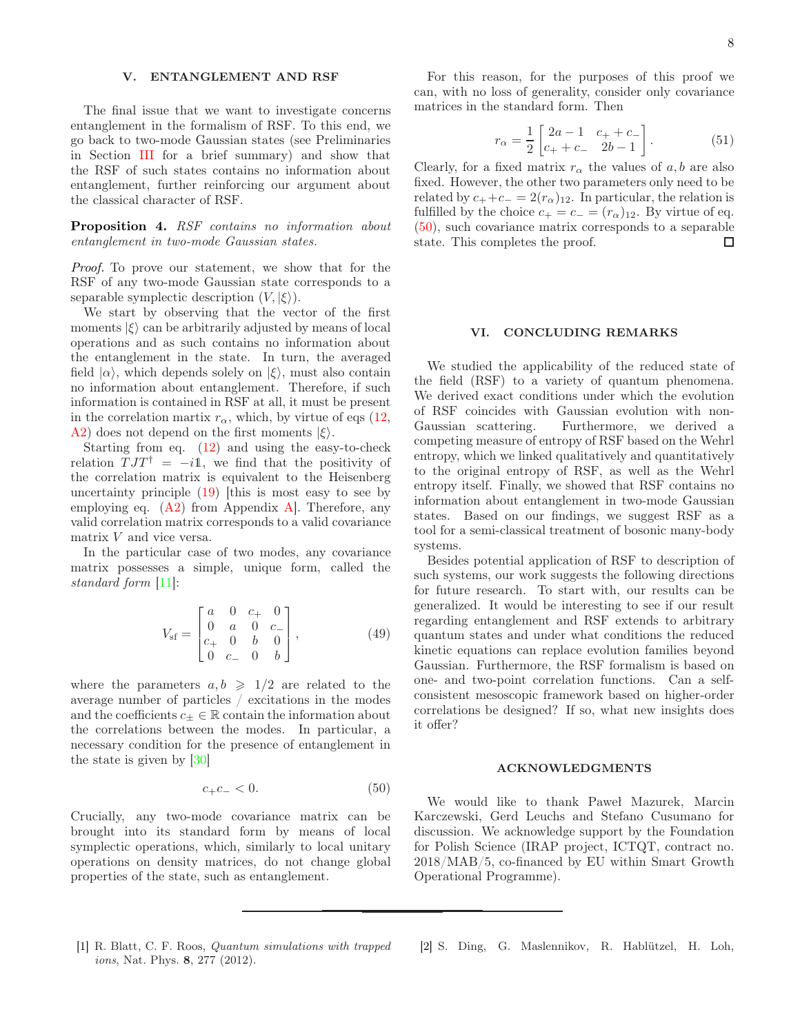# <span id="page-7-2"></span>V. ENTANGLEMENT AND RSF

The final issue that we want to investigate concerns entanglement in the formalism of RSF. To this end, we go back to two-mode Gaussian states (see Preliminaries in Section [III](#page-2-0) for a brief summary) and show that the RSF of such states contains no information about entanglement, further reinforcing our argument about the classical character of RSF.

Proposition 4. RSF contains no information about entanglement in two-mode Gaussian states.

Proof. To prove our statement, we show that for the RSF of any two-mode Gaussian state corresponds to a separable symplectic description  $(V, |\xi\rangle)$ .

We start by observing that the vector of the first moments  $|\xi\rangle$  can be arbitrarily adjusted by means of local operations and as such contains no information about the entanglement in the state. In turn, the averaged field  $|\alpha\rangle$ , which depends solely on  $|\xi\rangle$ , must also contain no information about entanglement. Therefore, if such information is contained in RSF at all, it must be present in the correlation martix  $r_{\alpha}$ , which, by virtue of eqs [\(12,](#page-2-6) [A](#page-8-22)[2\)](#page-9-2) does not depend on the first moments  $|\xi\rangle$ .

Starting from eq. [\(12\)](#page-2-6) and using the easy-to-check relation  $T J T^{\dagger} = -i \mathbb{1}$ , we find that the positivity of the correlation matrix is equivalent to the Heisenberg uncertainty principle [\(19\)](#page-3-3) [this is most easy to see by employing eq.  $(A2)$  $(A2)$  from Appendix A. Therefore, any valid correlation matrix corresponds to a valid covariance matrix V and vice versa.

In the particular case of two modes, any covariance matrix possesses a simple, unique form, called the standard form [\[11\]](#page-8-7):

$$
V_{\rm sf} = \begin{bmatrix} a & 0 & c_+ & 0 \\ 0 & a & 0 & c_- \\ c_+ & 0 & b & 0 \\ 0 & c_- & 0 & b \end{bmatrix}, \tag{49}
$$

where the parameters  $a, b \geq 1/2$  are related to the average number of particles / excitations in the modes and the coefficients  $c_{+} \in \mathbb{R}$  contain the information about the correlations between the modes. In particular, a necessary condition for the presence of entanglement in the state is given by [\[30](#page-8-26)]

$$
c_{+}c_{-}<0.\tag{50}
$$

Crucially, any two-mode covariance matrix can be brought into its standard form by means of local symplectic operations, which, similarly to local unitary operations on density matrices, do not change global properties of the state, such as entanglement.

For this reason, for the purposes of this proof we can, with no loss of generality, consider only covariance matrices in the standard form. Then

$$
r_{\alpha} = \frac{1}{2} \begin{bmatrix} 2a - 1 & c_+ + c_- \\ c_+ + c_- & 2b - 1 \end{bmatrix}.
$$
 (51)

Clearly, for a fixed matrix  $r_{\alpha}$  the values of a, b are also fixed. However, the other two parameters only need to be related by  $c_{+}+c_{-}=2(r_{\alpha})_{12}$ . In particular, the relation is fulfilled by the choice  $c_{+} = c_{-} = (r_{\alpha})_{12}$ . By virtue of eq. [\(50\)](#page-7-4), such covariance matrix corresponds to a separable state. This completes the proof. □

#### <span id="page-7-3"></span>VI. CONCLUDING REMARKS

We studied the applicability of the reduced state of the field (RSF) to a variety of quantum phenomena. We derived exact conditions under which the evolution of RSF coincides with Gaussian evolution with non-Gaussian scattering. Furthermore, we derived a competing measure of entropy of RSF based on the Wehrl entropy, which we linked qualitatively and quantitatively to the original entropy of RSF, as well as the Wehrl entropy itself. Finally, we showed that RSF contains no information about entanglement in two-mode Gaussian states. Based on our findings, we suggest RSF as a tool for a semi-classical treatment of bosonic many-body systems.

Besides potential application of RSF to description of such systems, our work suggests the following directions for future research. To start with, our results can be generalized. It would be interesting to see if our result regarding entanglement and RSF extends to arbitrary quantum states and under what conditions the reduced kinetic equations can replace evolution families beyond Gaussian. Furthermore, the RSF formalism is based on one- and two-point correlation functions. Can a selfconsistent mesoscopic framework based on higher-order correlations be designed? If so, what new insights does it offer?

### ACKNOWLEDGMENTS

<span id="page-7-4"></span>We would like to thank Paweł Mazurek, Marcin Karczewski, Gerd Leuchs and Stefano Cusumano for discussion. We acknowledge support by the Foundation for Polish Science (IRAP project, ICTQT, contract no. 2018/MAB/5, co-financed by EU within Smart Growth Operational Programme).

- <span id="page-7-0"></span>[1] R. Blatt, C. F. Roos, Quantum simulations with trapped ions, Nat. Phys. 8, 277 (2012).
- <span id="page-7-1"></span>[2] S. Ding, G. Maslennikov, R. Hablützel, H. Loh,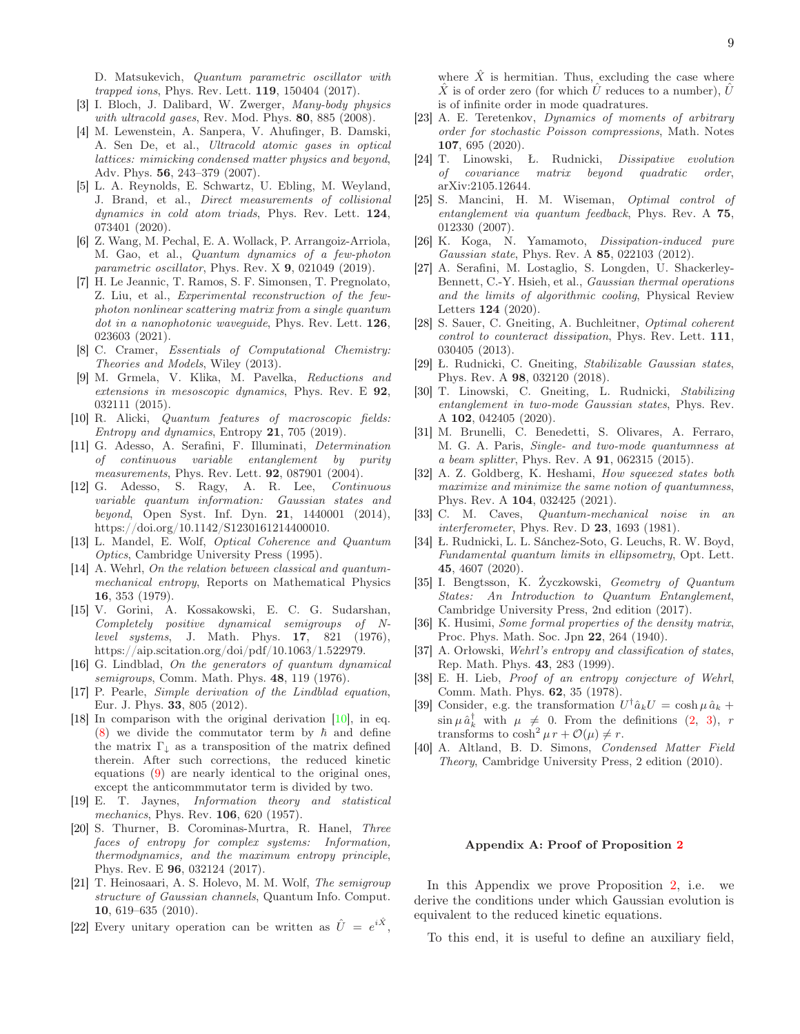D. Matsukevich, Quantum parametric oscillator with trapped ions, Phys. Rev. Lett. 119, 150404 (2017).

- <span id="page-8-0"></span>[3] I. Bloch, J. Dalibard, W. Zwerger, Many-body physics with ultracold gases, Rev. Mod. Phys. 80, 885 (2008).
- [4] M. Lewenstein, A. Sanpera, V. Ahufinger, B. Damski, A. Sen De, et al., Ultracold atomic gases in optical lattices: mimicking condensed matter physics and beyond, Adv. Phys. 56, 243–379 (2007).
- <span id="page-8-1"></span>[5] L. A. Reynolds, E. Schwartz, U. Ebling, M. Weyland, J. Brand, et al., Direct measurements of collisional dynamics in cold atom triads, Phys. Rev. Lett. 124, 073401 (2020).
- <span id="page-8-2"></span>[6] Z. Wang, M. Pechal, E. A. Wollack, P. Arrangoiz-Arriola, M. Gao, et al., Quantum dynamics of a few-photon parametric oscillator, Phys. Rev. X 9, 021049 (2019).
- <span id="page-8-3"></span>[7] H. Le Jeannic, T. Ramos, S. F. Simonsen, T. Pregnolato, Z. Liu, et al., Experimental reconstruction of the fewphoton nonlinear scattering matrix from a single quantum dot in a nanophotonic waveguide, Phys. Rev. Lett. 126, 023603 (2021).
- <span id="page-8-4"></span>[8] C. Cramer, Essentials of Computational Chemistry: Theories and Models, Wiley (2013).
- <span id="page-8-5"></span>[9] M. Grmela, V. Klika, M. Pavelka, Reductions and extensions in mesoscopic dynamics, Phys. Rev. E  $92$ , 032111 (2015).
- <span id="page-8-6"></span>[10] R. Alicki, Quantum features of macroscopic fields: Entropy and dynamics, Entropy  $21$ , 705 (2019).
- <span id="page-8-7"></span>[11] G. Adesso, A. Serafini, F. Illuminati, Determination of continuous variable entanglement by purity measurements, Phys. Rev. Lett. **92**, 087901 (2004).
- [12] G. Adesso, S. Ragy, A. R. Lee, Continuous variable quantum information: Gaussian states and beyond, Open Syst. Inf. Dyn. 21, 1440001 (2014), https://doi.org/10.1142/S1230161214400010.
- <span id="page-8-8"></span>[13] L. Mandel, E. Wolf, Optical Coherence and Quantum Optics, Cambridge University Press (1995).
- <span id="page-8-9"></span>[14] A. Wehrl, On the relation between classical and quantummechanical entropy, Reports on Mathematical Physics 16, 353 (1979).
- <span id="page-8-10"></span>[15] V. Gorini, A. Kossakowski, E. C. G. Sudarshan, Completely positive dynamical semigroups of Nlevel systems, J. Math. Phys. 17, 821 (1976), https://aip.scitation.org/doi/pdf/10.1063/1.522979.
- <span id="page-8-11"></span>[16] G. Lindblad, On the generators of quantum dynamical semigroups, Comm. Math. Phys. 48, 119 (1976).
- <span id="page-8-12"></span>[17] P. Pearle, Simple derivation of the Lindblad equation, Eur. J. Phys. 33, 805 (2012).
- <span id="page-8-13"></span>[18] In comparison with the original derivation [\[10\]](#page-8-6), in eq. [\(8\)](#page-1-1) we divide the commutator term by  $\hbar$  and define the matrix  $\Gamma_{\downarrow}$  as a transposition of the matrix defined therein. After such corrections, the reduced kinetic equations [\(9\)](#page-2-3) are nearly identical to the original ones, except the anticommmutator term is divided by two.
- <span id="page-8-14"></span>[19] E. T. Jaynes, Information theory and statistical mechanics, Phys. Rev. **106**, 620 (1957).
- <span id="page-8-15"></span>[20] S. Thurner, B. Corominas-Murtra, R. Hanel, Three faces of entropy for complex systems: Information, thermodynamics, and the maximum entropy principle, Phys. Rev. E 96, 032124 (2017).
- <span id="page-8-16"></span>[21] T. Heinosaari, A. S. Holevo, M. M. Wolf, The semigroup structure of Gaussian channels, Quantum Info. Comput. 10, 619–635 (2010).
- <span id="page-8-17"></span>[22] Every unitary operation can be written as  $\hat{U} = e^{i\hat{X}}$ ,

where  $\hat{X}$  is hermitian. Thus, excluding the case where X is of order zero (for which U reduces to a number),  $U$ is of infinite order in mode quadratures.

- <span id="page-8-18"></span>[23] A. E. Teretenkov, *Dynamics of moments of arbitrary* order for stochastic Poisson compressions, Math. Notes 107, 695 (2020).
- <span id="page-8-19"></span>[24] T. Linowski, Ł. Rudnicki, Dissipative evolution of covariance matrix beyond quadratic order, arXiv:2105.12644.
- <span id="page-8-20"></span>[25] S. Mancini, H. M. Wiseman, Optimal control of entanglement via quantum feedback, Phys. Rev. A 75, 012330 (2007).
- <span id="page-8-21"></span>[26] K. Koga, N. Yamamoto, Dissipation-induced pure Gaussian state, Phys. Rev. A 85, 022103 (2012).
- <span id="page-8-23"></span>[27] A. Serafini, M. Lostaglio, S. Longden, U. Shackerley-Bennett, C.-Y. Hsieh, et al., Gaussian thermal operations and the limits of algorithmic cooling, Physical Review Letters 124 (2020).
- <span id="page-8-24"></span>[28] S. Sauer, C. Gneiting, A. Buchleitner, Optimal coherent control to counteract dissipation, Phys. Rev. Lett. 111, 030405 (2013).
- <span id="page-8-25"></span>[29] Ł. Rudnicki, C. Gneiting, Stabilizable Gaussian states, Phys. Rev. A 98, 032120 (2018).
- <span id="page-8-26"></span>[30] T. Linowski, C. Gneiting, L. Rudnicki, Stabilizing entanglement in two-mode Gaussian states, Phys. Rev. A 102, 042405 (2020).
- <span id="page-8-27"></span>[31] M. Brunelli, C. Benedetti, S. Olivares, A. Ferraro, M. G. A. Paris, Single- and two-mode quantumness at a beam splitter, Phys. Rev. A 91, 062315 (2015).
- <span id="page-8-28"></span>[32] A. Z. Goldberg, K. Heshami, How squeezed states both maximize and minimize the same notion of quantumness, Phys. Rev. A 104, 032425 (2021).
- <span id="page-8-29"></span>[33] C. M. Caves, Quantum-mechanical noise in an interferometer, Phys. Rev. D 23, 1693 (1981).
- <span id="page-8-30"></span>[34] Ł. Rudnicki, L. L. Sánchez-Soto, G. Leuchs, R. W. Boyd, Fundamental quantum limits in ellipsometry, Opt. Lett. 45, 4607 (2020).
- <span id="page-8-31"></span>[35] I. Bengtsson, K. Życzkowski, Geometry of Quantum States: An Introduction to Quantum Entanglement, Cambridge University Press, 2nd edition (2017).
- <span id="page-8-32"></span>[36] K. Husimi, Some formal properties of the density matrix, Proc. Phys. Math. Soc. Jpn 22, 264 (1940).
- <span id="page-8-33"></span>[37] A. Orłowski, Wehrl's entropy and classification of states, Rep. Math. Phys. 43, 283 (1999).
- <span id="page-8-34"></span>[38] E. H. Lieb, Proof of an entropy conjecture of Wehrl, Comm. Math. Phys. 62, 35 (1978).
- <span id="page-8-35"></span>[39] Consider, e.g. the transformation  $U^{\dagger} \hat{a}_k U = \cosh \mu \hat{a}_k +$  $\sin \mu \hat{a}_k^{\dagger}$  with  $\mu \neq 0$ . From the definitions  $(2, 3)$  $(2, 3)$ , r transforms to  $\cosh^2 \mu r + \mathcal{O}(\mu) \neq r$ .
- <span id="page-8-36"></span>[40] A. Altland, B. D. Simons, Condensed Matter Field Theory, Cambridge University Press, 2 edition (2010).

### <span id="page-8-22"></span>Appendix A: Proof of Proposition [2](#page-4-3)

In this Appendix we prove Proposition [2,](#page-4-3) i.e. we derive the conditions under which Gaussian evolution is equivalent to the reduced kinetic equations.

To this end, it is useful to define an auxiliary field,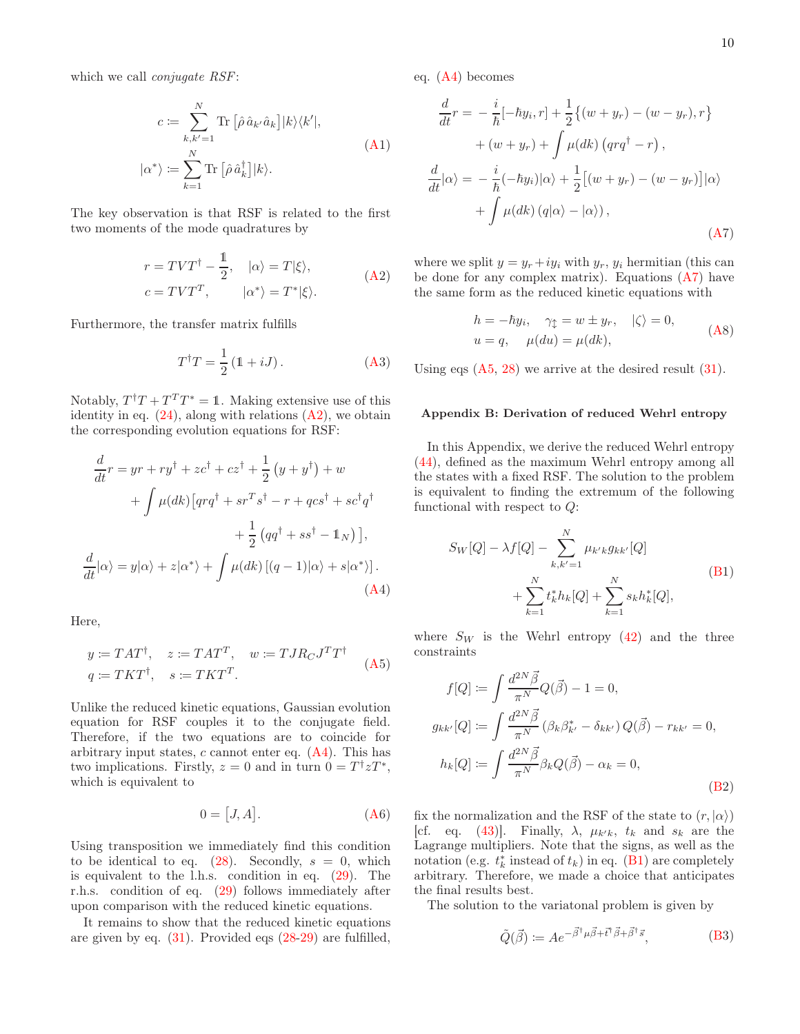which we call *conjugate RSF*:

$$
c := \sum_{k,k'=1}^{N} \text{Tr} \left[ \hat{\rho} \, \hat{a}_{k'} \hat{a}_{k} \right] |k\rangle\langle k'|,
$$
  

$$
|\alpha^* \rangle := \sum_{k=1}^{N} \text{Tr} \left[ \hat{\rho} \, \hat{a}_{k}^{\dagger} \right] |k\rangle.
$$
 (A1)

The key observation is that RSF is related to the first two moments of the mode quadratures by

$$
r = TVT^{\dagger} - \frac{1}{2}, \quad |\alpha\rangle = T|\xi\rangle, \nc = TVT^{T}, \quad |\alpha^*\rangle = T^*|\xi\rangle.
$$
\n(A2)

Furthermore, the transfer matrix fulfills

$$
T^{\dagger}T = \frac{1}{2} \left( \mathbb{1} + iJ \right). \tag{A3}
$$

Notably,  $T^{\dagger}T + T^T T^* = 1$ . Making extensive use of this identity in eq.  $(24)$ , along with relations  $(A2)$  $(A2)$ , we obtain the corresponding evolution equations for RSF:

$$
\frac{d}{dt}r = yr + ry^{\dagger} + zc^{\dagger} + cz^{\dagger} + \frac{1}{2}(y + y^{\dagger}) + w
$$

$$
+ \int \mu(dk) \left[ qrq^{\dagger} + sr^T s^{\dagger} - r + qcs^{\dagger} + sc^{\dagger} q^{\dagger} + \frac{1}{2} (qq^{\dagger} + ss^{\dagger} - \mathbb{1}_N) \right],
$$

$$
\frac{d}{dt} |\alpha\rangle = y |\alpha\rangle + z |\alpha^*\rangle + \int \mu(dk) \left[ (q - 1) |\alpha\rangle + s |\alpha^*\rangle \right].
$$
(A4)

Here,

$$
y \coloneqq TAT^{\dagger}, \quad z \coloneqq TAT^T, \quad w \coloneqq TJR_CJ^T T^{\dagger}
$$

$$
q \coloneqq TKT^{\dagger}, \quad s \coloneqq TKT^T. \tag{A5}
$$

Unlike the reduced kinetic equations, Gaussian evolution equation for RSF couples it to the conjugate field. Therefore, if the two equations are to coincide for arbitrary input states,  $c$  cannot enter eq.  $(A4)$  $(A4)$ . This has two implications. Firstly,  $z = 0$  and in turn  $0 = T^{\dagger} z T^*$ , which is equivalent to

$$
0 = [J, A]. \tag{A6}
$$

Using transposition we immediately find this condition to be identical to eq.  $(28)$ . Secondly,  $s = 0$ , which is equivalent to the l.h.s. condition in eq. [\(29\)](#page-4-2). The r.h.s. condition of eq. [\(29\)](#page-4-2) follows immediately after upon comparison with the reduced kinetic equations.

It remains to show that the reduced kinetic equations are given by eq.  $(31)$ . Provided eqs  $(28-29)$  $(28-29)$  are fulfilled, eq. [\(A](#page-8-22)[4\)](#page-9-3) becomes

$$
\frac{d}{dt}r = -\frac{i}{\hbar}[-\hbar y_i, r] + \frac{1}{2}\{(w + y_r) - (w - y_r), r\} \n+ (w + y_r) + \int \mu(dk) (qrq^{\dagger} - r) ,\n\frac{d}{dt}|\alpha\rangle = -\frac{i}{\hbar}(-\hbar y_i)|\alpha\rangle + \frac{1}{2}[(w + y_r) - (w - y_r)]|\alpha\rangle \n+ \int \mu(dk) (q|\alpha\rangle - |\alpha\rangle),
$$
\n(A7)

<span id="page-9-2"></span>where we split  $y = y_r + iy_i$  with  $y_r$ ,  $y_i$  hermitian (this can be done for any complex matrix). Equations  $(A7)$  $(A7)$  have the same form as the reduced kinetic equations with

<span id="page-9-4"></span>
$$
h = -\hbar y_i, \quad \gamma_{\updownarrow} = w \pm y_r, \quad |\zeta\rangle = 0,
$$
  

$$
u = q, \quad \mu(du) = \mu(dk), \tag{A8}
$$

Using eqs  $(A5, 28)$  $(A5, 28)$  $(A5, 28)$  $(A5, 28)$  we arrive at the desired result  $(31)$ .

#### <span id="page-9-1"></span>Appendix B: Derivation of reduced Wehrl entropy

In this Appendix, we derive the reduced Wehrl entropy [\(44\)](#page-6-1), defined as the maximum Wehrl entropy among all the states with a fixed RSF. The solution to the problem is equivalent to finding the extremum of the following functional with respect to Q:

<span id="page-9-6"></span>
$$
S_W[Q] - \lambda f[Q] - \sum_{k,k'=1}^{N} \mu_{k'k} g_{kk'}[Q] + \sum_{k=1}^{N} t_k^* h_k[Q] + \sum_{k=1}^{N} s_k h_k^*[Q],
$$
\n(B1)

<span id="page-9-5"></span><span id="page-9-3"></span>where  $S_W$  is the Wehrl entropy [\(42\)](#page-6-2) and the three constraints

<span id="page-9-7"></span>
$$
f[Q] := \int \frac{d^{2N}\vec{\beta}}{\pi^N} Q(\vec{\beta}) - 1 = 0,
$$
  
\n
$$
g_{kk'}[Q] := \int \frac{d^{2N}\vec{\beta}}{\pi^N} (\beta_k \beta_{k'}^* - \delta_{kk'}) Q(\vec{\beta}) - r_{kk'} = 0,
$$
  
\n
$$
h_k[Q] := \int \frac{d^{2N}\vec{\beta}}{\pi^N} \beta_k Q(\vec{\beta}) - \alpha_k = 0,
$$
  
\n(B2)

<span id="page-9-0"></span>fix the normalization and the RSF of the state to  $(r, |\alpha\rangle)$ [cf. eq. [\(43\)](#page-6-3)]. Finally,  $\lambda$ ,  $\mu_{k'k}$ ,  $t_k$  and  $s_k$  are the Lagrange multipliers. Note that the signs, as well as the notation (e.g.  $t_k^*$  instead of  $t_k$ ) in eq. [\(B](#page-9-1)[1\)](#page-9-6) are completely arbitrary. Therefore, we made a choice that anticipates the final results best.

The solution to the variatonal problem is given by

$$
\tilde{Q}(\vec{\beta}) \coloneqq A e^{-\vec{\beta}^{\dagger} \mu \vec{\beta} + \vec{t}^{\dagger} \vec{\beta} + \vec{\beta}^{\dagger} \vec{s}},\tag{B3}
$$